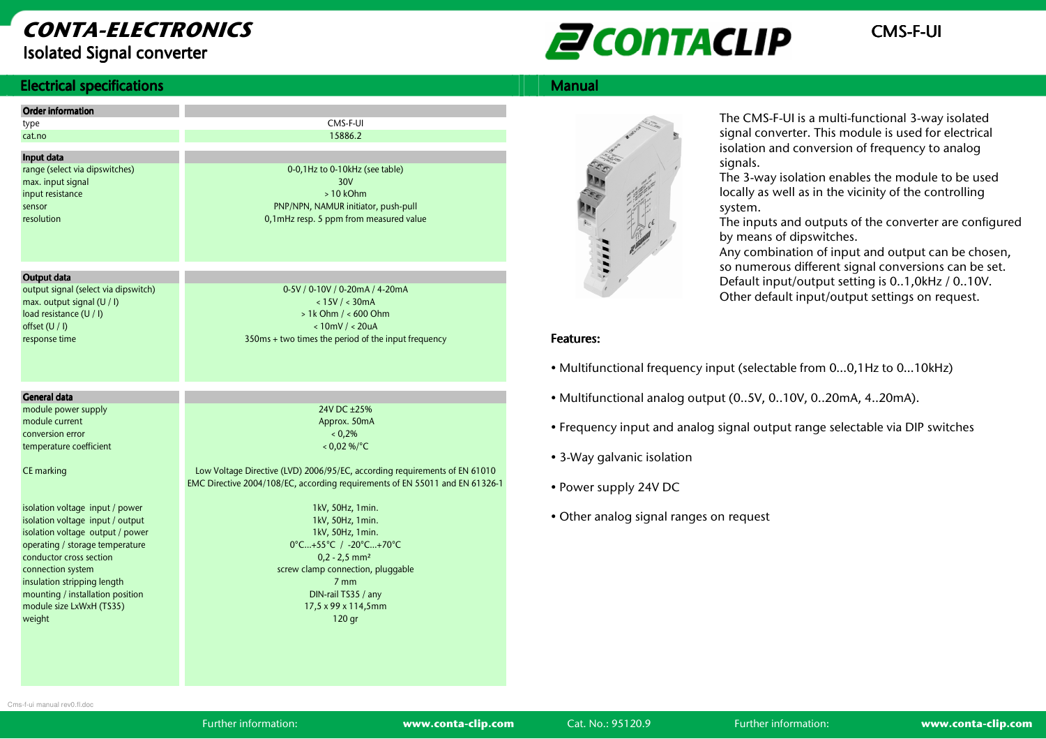## CONTA-ELECTRONICSIsolated Signal converter

# **ENTACLIP** CMS-F-UI

#### **Electrical specifications**

| Electrical specifications                                                                                                                                                                                                                                                                                                                                                                                 |                                                                                                                                                                                                                                                                                                                                                                                                                                                            | <b>Manual</b>                                                             |
|-----------------------------------------------------------------------------------------------------------------------------------------------------------------------------------------------------------------------------------------------------------------------------------------------------------------------------------------------------------------------------------------------------------|------------------------------------------------------------------------------------------------------------------------------------------------------------------------------------------------------------------------------------------------------------------------------------------------------------------------------------------------------------------------------------------------------------------------------------------------------------|---------------------------------------------------------------------------|
| <b>Order information</b><br>type<br>cat.no<br>Input data<br>range (select via dipswitches)<br>max. input signal<br>input resistance<br>sensor<br>resolution                                                                                                                                                                                                                                               | CMS-F-UI<br>15886.2<br>0-0,1Hz to 0-10kHz (see table)<br>30V<br>$>10$ kOhm<br>PNP/NPN, NAMUR initiator, push-pull<br>0,1mHz resp. 5 ppm from measured value                                                                                                                                                                                                                                                                                                |                                                                           |
| Output data<br>output signal (select via dipswitch)<br>max. output signal (U / I)<br>load resistance (U / I)<br>offset (U / I)<br>response time                                                                                                                                                                                                                                                           | 0-5V / 0-10V / 0-20mA / 4-20mA<br>< 15V / < 30mA<br>$> 1k$ Ohm $/ < 600$ Ohm<br>$< 10$ mV / $< 20$ uA<br>350ms + two times the period of the input frequency                                                                                                                                                                                                                                                                                               | 0.0000000<br><b>Features:</b><br>• Multifur                               |
| General data                                                                                                                                                                                                                                                                                                                                                                                              |                                                                                                                                                                                                                                                                                                                                                                                                                                                            |                                                                           |
| module power supply<br>module current<br>conversion error<br>temperature coefficient<br>CE marking<br>isolation voltage input / power<br>isolation voltage input / output<br>isolation voltage output / power<br>operating / storage temperature<br>conductor cross section<br>connection system<br>insulation stripping length<br>mounting / installation position<br>module size LxWxH (TS35)<br>weight | 24V DC ±25%<br>Approx. 50mA<br>$0.2\%$<br>$< 0.02 %$ /°C<br>Low Voltage Directive (LVD) 2006/95/EC, according requirements of EN 61010<br>EMC Directive 2004/108/EC, according requirements of EN 55011 and EN 61326-1<br>1kV, 50Hz, 1min.<br>1kV, 50Hz, 1min.<br>1kV, 50Hz, 1min.<br>0°C+55°C / -20°C+70°C<br>$0,2 - 2,5$ mm <sup>2</sup><br>screw clamp connection, pluggable<br>7 <sub>mm</sub><br>DIN-rail TS35 / any<br>17,5 x 99 x 114,5mm<br>120 gr | • Multifur<br>• Frequer<br>$\bullet$ 3-Way $c$<br>• Power s<br>• Other ar |



The CMS-F-UI is a multi-functional 3-way isolated signal converter. This module is used for electrical isolation and conversion of frequency to analog signals.

 The 3-way isolation enables the module to be used locally as well as in the vicinity of the controlling system.

 The inputs and outputs of the converter are configured by means of dipswitches.

 Any combination of input and output can be chosen, so numerous different signal conversions can be set. Default input/output setting is 0..1,0kHz / 0..10V.Other default input/output settings on request.

#### Features: Features:

- Multifunctional frequency input (selectable from 0…0,1Hz to 0…10kHz)
- Multifunctional analog output (0..5V, 0..10V, 0..20mA, 4..20mA).
- Frequency input and analog signal output range selectable via DIP switches
- 3-Way galvanic isolation
- Power supply 24V DC
- Other analog signal ranges on request

Cms-f-ui manual rev0.fl.doc